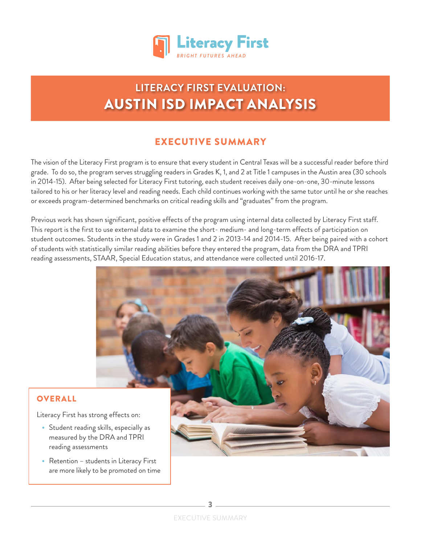

# **LITERACY FIRST EVALUATION:** AUSTIN ISD IMPACT ANALYSIS

## EXECUTIVE SUMMARY

The vision of the Literacy First program is to ensure that every student in Central Texas will be a successful reader before third grade. To do so, the program serves struggling readers in Grades K, 1, and 2 at Title 1 campuses in the Austin area (30 schools in 2014-15) . After being selected for Literacy First tutoring, each student receives daily one-on-one, 30-minute lessons tailored to his or her literacy level and reading needs. Each child continues working with the same tutor until he or she reaches or exceeds program-determined benchmarks on critical reading skills and "graduates" from the program .

Previous work has shown significant, positive effects of the program using internal data collected by Literacy First staff. This report is the first to use external data to examine the short- medium- and long-term effects of participation on student outcomes. Students in the study were in Grades 1 and 2 in 2013-14 and 2014-15. After being paired with a cohort of students with statistically similar reading abilities before they entered the program, data from the DRA and TPRI reading assessments, STAAR, Special Education status, and attendance were collected until 2016-17 .



#### **OVERALL**

Literacy First has strong effects on:

- Student reading skills, especially as measured by the DRA and TPRI reading assessments
- Retention students in Literacy First are more likely to be promoted on time